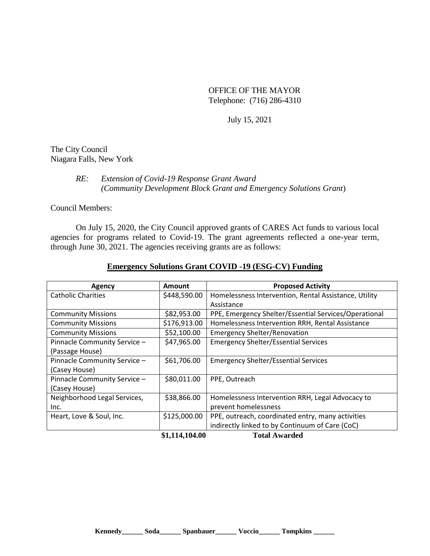OFFICE OF THE MAYOR Telephone: (716) 286-4310

July 15, 2021

The City Council Niagara Falls, New York

## *RE: Extension of Covid-19 Response Grant Award (Community Development Block Grant and Emergency Solutions Grant*)

Council Members:

On July 15, 2020, the City Council approved grants of CARES Act funds to various local agencies for programs related to Covid-19. The grant agreements reflected a one-year term, through June 30, 2021. The agencies receiving grants are as follows:

| Agency                       | <b>Amount</b>  | <b>Proposed Activity</b>                              |
|------------------------------|----------------|-------------------------------------------------------|
| <b>Catholic Charities</b>    | \$448,590.00   | Homelessness Intervention, Rental Assistance, Utility |
|                              |                | Assistance                                            |
| <b>Community Missions</b>    | \$82,953.00    | PPE, Emergency Shelter/Essential Services/Operational |
| <b>Community Missions</b>    | \$176,913.00   | Homelessness Intervention RRH, Rental Assistance      |
| <b>Community Missions</b>    | \$52,100.00    | <b>Emergency Shelter/Renovation</b>                   |
| Pinnacle Community Service - | \$47,965.00    | <b>Emergency Shelter/Essential Services</b>           |
| (Passage House)              |                |                                                       |
| Pinnacle Community Service - | \$61,706.00    | <b>Emergency Shelter/Essential Services</b>           |
| (Casey House)                |                |                                                       |
| Pinnacle Community Service - | \$80,011.00    | PPE, Outreach                                         |
| (Casey House)                |                |                                                       |
| Neighborhood Legal Services, | \$38,866.00    | Homelessness Intervention RRH, Legal Advocacy to      |
| Inc.                         |                | prevent homelessness                                  |
| Heart, Love & Soul, Inc.     | \$125,000.00   | PPE, outreach, coordinated entry, many activities     |
|                              |                | indirectly linked to by Continuum of Care (CoC)       |
|                              | \$1,114,104.00 | <b>Total Awarded</b>                                  |

## **Emergency Solutions Grant COVID -19 (ESG-CV) Funding**